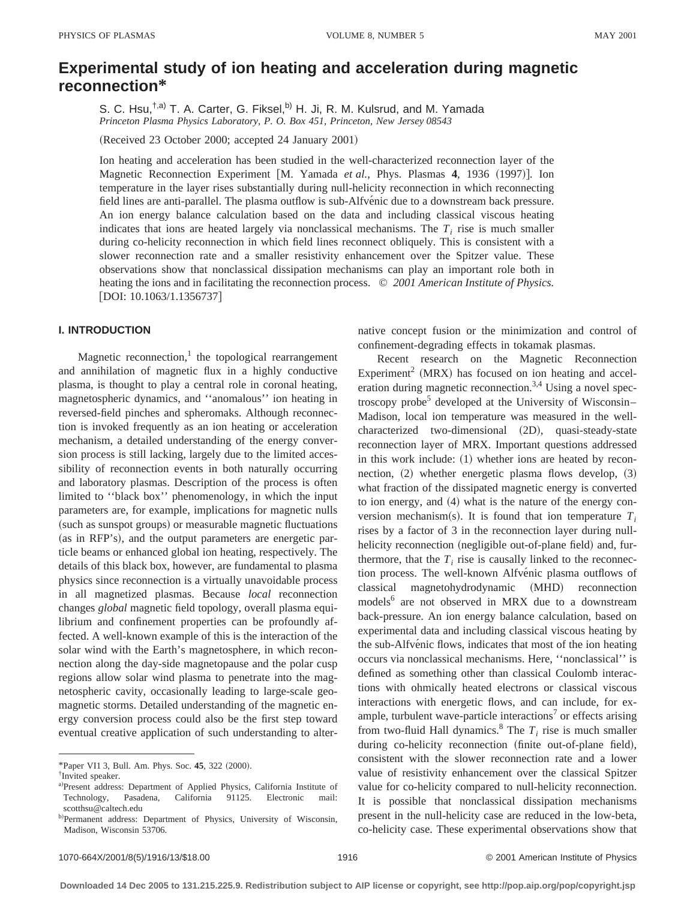# **Experimental study of ion heating and acceleration during magnetic reconnection\***

S. C. Hsu,<sup>t,a)</sup> T. A. Carter, G. Fiksel,<sup>b)</sup> H. Ji, R. M. Kulsrud, and M. Yamada *Princeton Plasma Physics Laboratory, P. O. Box 451, Princeton, New Jersey 08543*

(Received 23 October 2000; accepted 24 January 2001)

Ion heating and acceleration has been studied in the well-characterized reconnection layer of the Magnetic Reconnection Experiment [M. Yamada *et al.*, Phys. Plasmas 4, 1936 (1997)]. Ion temperature in the layer rises substantially during null-helicity reconnection in which reconnecting field lines are anti-parallel. The plasma outflow is sub-Alfvenic due to a downstream back pressure. An ion energy balance calculation based on the data and including classical viscous heating indicates that ions are heated largely via nonclassical mechanisms. The  $T_i$  rise is much smaller during co-helicity reconnection in which field lines reconnect obliquely. This is consistent with a slower reconnection rate and a smaller resistivity enhancement over the Spitzer value. These observations show that nonclassical dissipation mechanisms can play an important role both in heating the ions and in facilitating the reconnection process. © *2001 American Institute of Physics.*  $[DOI: 10.1063/1.1356737]$ 

# **I. INTRODUCTION**

Magnetic reconnection, $\frac{1}{1}$  the topological rearrangement and annihilation of magnetic flux in a highly conductive plasma, is thought to play a central role in coronal heating, magnetospheric dynamics, and ''anomalous'' ion heating in reversed-field pinches and spheromaks. Although reconnection is invoked frequently as an ion heating or acceleration mechanism, a detailed understanding of the energy conversion process is still lacking, largely due to the limited accessibility of reconnection events in both naturally occurring and laboratory plasmas. Description of the process is often limited to ''black box'' phenomenology, in which the input parameters are, for example, implications for magnetic nulls (such as sunspot groups) or measurable magnetic fluctuations (as in RFP's), and the output parameters are energetic particle beams or enhanced global ion heating, respectively. The details of this black box, however, are fundamental to plasma physics since reconnection is a virtually unavoidable process in all magnetized plasmas. Because *local* reconnection changes *global* magnetic field topology, overall plasma equilibrium and confinement properties can be profoundly affected. A well-known example of this is the interaction of the solar wind with the Earth's magnetosphere, in which reconnection along the day-side magnetopause and the polar cusp regions allow solar wind plasma to penetrate into the magnetospheric cavity, occasionally leading to large-scale geomagnetic storms. Detailed understanding of the magnetic energy conversion process could also be the first step toward eventual creative application of such understanding to alternative concept fusion or the minimization and control of confinement-degrading effects in tokamak plasmas.

Recent research on the Magnetic Reconnection Experiment<sup>2</sup> (MRX) has focused on ion heating and acceleration during magnetic reconnection.<sup>3,4</sup> Using a novel spectroscopy probe<sup>5</sup> developed at the University of Wisconsin– Madison, local ion temperature was measured in the wellcharacterized two-dimensional (2D), quasi-steady-state reconnection layer of MRX. Important questions addressed in this work include:  $(1)$  whether ions are heated by reconnection,  $(2)$  whether energetic plasma flows develop,  $(3)$ what fraction of the dissipated magnetic energy is converted to ion energy, and  $(4)$  what is the nature of the energy conversion mechanism(s). It is found that ion temperature  $T_i$ rises by a factor of 3 in the reconnection layer during nullhelicity reconnection (negligible out-of-plane field) and, furthermore, that the  $T_i$  rise is causally linked to the reconnection process. The well-known Alfvénic plasma outflows of classical magnetohydrodynamic (MHD) reconnection models<sup>6</sup> are not observed in MRX due to a downstream back-pressure. An ion energy balance calculation, based on experimental data and including classical viscous heating by the sub-Alfvenic flows, indicates that most of the ion heating occurs via nonclassical mechanisms. Here, ''nonclassical'' is defined as something other than classical Coulomb interactions with ohmically heated electrons or classical viscous interactions with energetic flows, and can include, for example, turbulent wave-particle interactions<sup>7</sup> or effects arising from two-fluid Hall dynamics.<sup>8</sup> The  $T_i$  rise is much smaller during co-helicity reconnection (finite out-of-plane field), consistent with the slower reconnection rate and a lower value of resistivity enhancement over the classical Spitzer value for co-helicity compared to null-helicity reconnection. It is possible that nonclassical dissipation mechanisms present in the null-helicity case are reduced in the low-beta, co-helicity case. These experimental observations show that

<sup>\*</sup>Paper VI1 3, Bull. Am. Phys. Soc. 45, 322 (2000).

<sup>†</sup> Invited speaker.

a)Present address: Department of Applied Physics, California Institute of Technology, Pasadena, California 91125. Electronic mail: scotthsu@caltech.edu

b)Permanent address: Department of Physics, University of Wisconsin, Madison, Wisconsin 53706.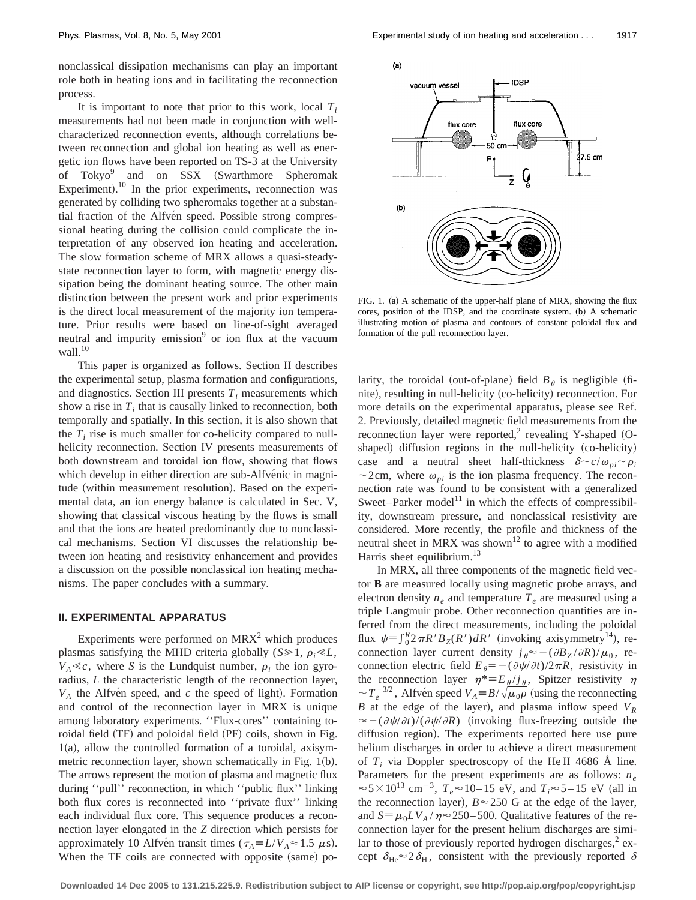nonclassical dissipation mechanisms can play an important role both in heating ions and in facilitating the reconnection process.

It is important to note that prior to this work, local  $T_i$ measurements had not been made in conjunction with wellcharacterized reconnection events, although correlations between reconnection and global ion heating as well as energetic ion flows have been reported on TS-3 at the University of  $Tokyo<sup>9</sup>$  and on SSX (Swarthmore Spheromak Experiment).<sup>10</sup> In the prior experiments, reconnection was generated by colliding two spheromaks together at a substantial fraction of the Alfvén speed. Possible strong compressional heating during the collision could complicate the interpretation of any observed ion heating and acceleration. The slow formation scheme of MRX allows a quasi-steadystate reconnection layer to form, with magnetic energy dissipation being the dominant heating source. The other main distinction between the present work and prior experiments is the direct local measurement of the majority ion temperature. Prior results were based on line-of-sight averaged neutral and impurity emission $9$  or ion flux at the vacuum wall. $10$ 

This paper is organized as follows. Section II describes the experimental setup, plasma formation and configurations, and diagnostics. Section III presents  $T_i$  measurements which show a rise in  $T_i$  that is causally linked to reconnection, both temporally and spatially. In this section, it is also shown that the  $T_i$  rise is much smaller for co-helicity compared to nullhelicity reconnection. Section IV presents measurements of both downstream and toroidal ion flow, showing that flows which develop in either direction are sub-Alfvénic in magnitude (within measurement resolution). Based on the experimental data, an ion energy balance is calculated in Sec. V, showing that classical viscous heating by the flows is small and that the ions are heated predominantly due to nonclassical mechanisms. Section VI discusses the relationship between ion heating and resistivity enhancement and provides a discussion on the possible nonclassical ion heating mechanisms. The paper concludes with a summary.

## **II. EXPERIMENTAL APPARATUS**

Experiments were performed on  $MRX<sup>2</sup>$  which produces plasmas satisfying the MHD criteria globally ( $S \ge 1$ ,  $\rho_i \ll L$ ,  $V_A \ll c$ , where *S* is the Lundquist number,  $\rho_i$  the ion gyroradius, *L* the characteristic length of the reconnection layer,  $V_A$  the Alfven speed, and  $c$  the speed of light). Formation and control of the reconnection layer in MRX is unique among laboratory experiments. ''Flux-cores'' containing toroidal field (TF) and poloidal field (PF) coils, shown in Fig.  $1(a)$ , allow the controlled formation of a toroidal, axisymmetric reconnection layer, shown schematically in Fig.  $1(b)$ . The arrows represent the motion of plasma and magnetic flux during ''pull'' reconnection, in which ''public flux'' linking both flux cores is reconnected into ''private flux'' linking each individual flux core. This sequence produces a reconnection layer elongated in the *Z* direction which persists for approximately 10 Alfven transit times ( $\tau_A \equiv L/V_A \approx 1.5 \mu s$ ). When the TF coils are connected with opposite (same) po-





FIG. 1. (a) A schematic of the upper-half plane of MRX, showing the flux cores, position of the IDSP, and the coordinate system. (b) A schematic illustrating motion of plasma and contours of constant poloidal flux and formation of the pull reconnection layer.

larity, the toroidal (out-of-plane) field  $B_\theta$  is negligible (finite), resulting in null-helicity (co-helicity) reconnection. For more details on the experimental apparatus, please see Ref. 2. Previously, detailed magnetic field measurements from the reconnection layer were reported,<sup>2</sup> revealing Y-shaped  $(O$ shaped) diffusion regions in the null-helicity (co-helicity) case and a neutral sheet half-thickness  $\delta \sim c/\omega_{pi} \sim \rho_i$  $\sim$  2cm, where  $\omega_{pi}$  is the ion plasma frequency. The reconnection rate was found to be consistent with a generalized Sweet–Parker model<sup>11</sup> in which the effects of compressibility, downstream pressure, and nonclassical resistivity are considered. More recently, the profile and thickness of the neutral sheet in MRX was shown<sup>12</sup> to agree with a modified Harris sheet equilibrium.<sup>13</sup>

In MRX, all three components of the magnetic field vector **B** are measured locally using magnetic probe arrays, and electron density  $n_e$  and temperature  $T_e$  are measured using a triple Langmuir probe. Other reconnection quantities are inferred from the direct measurements, including the poloidal flux  $\psi = \int_0^R 2\pi R' B_Z(R') dR'$  (invoking axisymmetry<sup>14</sup>), reconnection layer current density  $j_{\theta} \approx -(\partial B_Z / \partial R)/\mu_0$ , reconnection electric field  $E_{\theta} = -(\partial \psi/\partial t)/2\pi R$ , resistivity in the reconnection layer  $\eta^* = E_\theta / j_\theta$ , Spitzer resistivity  $\eta$  $\sim T_e^{-3/2}$ , Alfvén speed  $V_A \equiv B/\sqrt{\mu_0 \rho}$  (using the reconnecting *B* at the edge of the layer), and plasma inflow speed  $V_R$  $\approx -(\partial \psi/\partial t)/(\partial \psi/\partial R)$  (invoking flux-freezing outside the diffusion region). The experiments reported here use pure helium discharges in order to achieve a direct measurement of  $T_i$  via Doppler spectroscopy of the He II 4686 Å line. Parameters for the present experiments are as follows: *ne*  $\approx$  5 × 10<sup>13</sup> cm<sup>-3</sup>,  $T_e \approx$  10–15 eV, and  $T_i \approx$  5–15 eV (all in the reconnection layer),  $B \approx 250$  G at the edge of the layer, and  $S = \mu_0 LV_A / \eta \approx 250 - 500$ . Qualitative features of the reconnection layer for the present helium discharges are similar to those of previously reported hydrogen discharges, $2$  except  $\delta_{\text{He}} \approx 2 \delta_{\text{H}}$ , consistent with the previously reported  $\delta$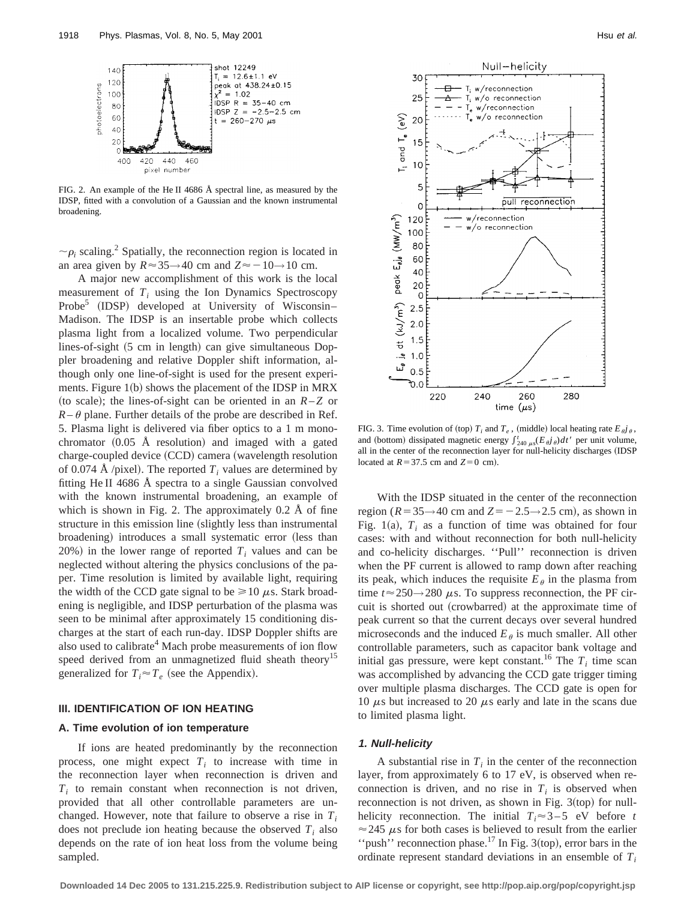

FIG. 2. An example of the He II 4686 Å spectral line, as measured by the IDSP, fitted with a convolution of a Gaussian and the known instrumental broadening.

 $\sim \rho_i$  scaling.<sup>2</sup> Spatially, the reconnection region is located in an area given by  $R \approx 35 \rightarrow 40$  cm and  $Z \approx -10 \rightarrow 10$  cm.

A major new accomplishment of this work is the local measurement of  $T_i$  using the Ion Dynamics Spectroscopy Probe<sup>5</sup> (IDSP) developed at University of Wisconsin– Madison. The IDSP is an insertable probe which collects plasma light from a localized volume. Two perpendicular lines-of-sight  $(5 \text{ cm in length})$  can give simultaneous Doppler broadening and relative Doppler shift information, although only one line-of-sight is used for the present experiments. Figure  $1(b)$  shows the placement of the IDSP in MRX (to scale); the lines-of-sight can be oriented in an  $R-Z$  or  $R-\theta$  plane. Further details of the probe are described in Ref. 5. Plasma light is delivered via fiber optics to a 1 m monochromator  $(0.05 \text{ Å resolution})$  and imaged with a gated charge-coupled device (CCD) camera (wavelength resolution of 0.074 Å /pixel). The reported  $T_i$  values are determined by fitting He II 4686 Å spectra to a single Gaussian convolved with the known instrumental broadening, an example of which is shown in Fig. 2. The approximately 0.2 Å of fine structure in this emission line (slightly less than instrumental broadening) introduces a small systematic error (less than 20%) in the lower range of reported  $T_i$  values and can be neglected without altering the physics conclusions of the paper. Time resolution is limited by available light, requiring the width of the CCD gate signal to be  $\geq 10 \mu$ s. Stark broadening is negligible, and IDSP perturbation of the plasma was seen to be minimal after approximately 15 conditioning discharges at the start of each run-day. IDSP Doppler shifts are also used to calibrate<sup>4</sup> Mach probe measurements of ion flow speed derived from an unmagnetized fluid sheath theory<sup>15</sup> generalized for  $T_i \approx T_e$  (see the Appendix).

## **III. IDENTIFICATION OF ION HEATING**

## **A. Time evolution of ion temperature**

If ions are heated predominantly by the reconnection process, one might expect  $T_i$  to increase with time in the reconnection layer when reconnection is driven and  $T_i$  to remain constant when reconnection is not driven, provided that all other controllable parameters are unchanged. However, note that failure to observe a rise in *Ti* does not preclude ion heating because the observed  $T_i$  also depends on the rate of ion heat loss from the volume being sampled.



FIG. 3. Time evolution of (top)  $T_i$  and  $T_e$ , (middle) local heating rate  $E_{\theta}j_{\theta}$ , and (bottom) dissipated magnetic energy  $\int_{240 \mu s}^{t} (E_{\theta} j_{\theta}) dt'$  per unit volume, all in the center of the reconnection layer for null-helicity discharges (IDSP located at  $R = 37.5$  cm and  $Z=0$  cm).

With the IDSP situated in the center of the reconnection region ( $R = 35 \rightarrow 40$  cm and  $Z = -2.5 \rightarrow 2.5$  cm), as shown in Fig. 1(a),  $T_i$  as a function of time was obtained for four cases: with and without reconnection for both null-helicity and co-helicity discharges. ''Pull'' reconnection is driven when the PF current is allowed to ramp down after reaching its peak, which induces the requisite  $E_{\theta}$  in the plasma from time  $t \approx 250 \rightarrow 280 \mu s$ . To suppress reconnection, the PF circuit is shorted out (crowbarred) at the approximate time of peak current so that the current decays over several hundred microseconds and the induced  $E_{\theta}$  is much smaller. All other controllable parameters, such as capacitor bank voltage and initial gas pressure, were kept constant.<sup>16</sup> The  $T_i$  time scan was accomplished by advancing the CCD gate trigger timing over multiple plasma discharges. The CCD gate is open for 10  $\mu$ s but increased to 20  $\mu$ s early and late in the scans due to limited plasma light.

# **1. Null-helicity**

A substantial rise in  $T_i$  in the center of the reconnection layer, from approximately 6 to 17 eV, is observed when reconnection is driven, and no rise in  $T_i$  is observed when reconnection is not driven, as shown in Fig.  $3({\rm top})$  for nullhelicity reconnection. The initial  $T_i \approx 3-5$  eV before *t*  $\approx$  245  $\mu$ s for both cases is believed to result from the earlier "push" reconnection phase.<sup>17</sup> In Fig. 3(top), error bars in the ordinate represent standard deviations in an ensemble of  $T_i$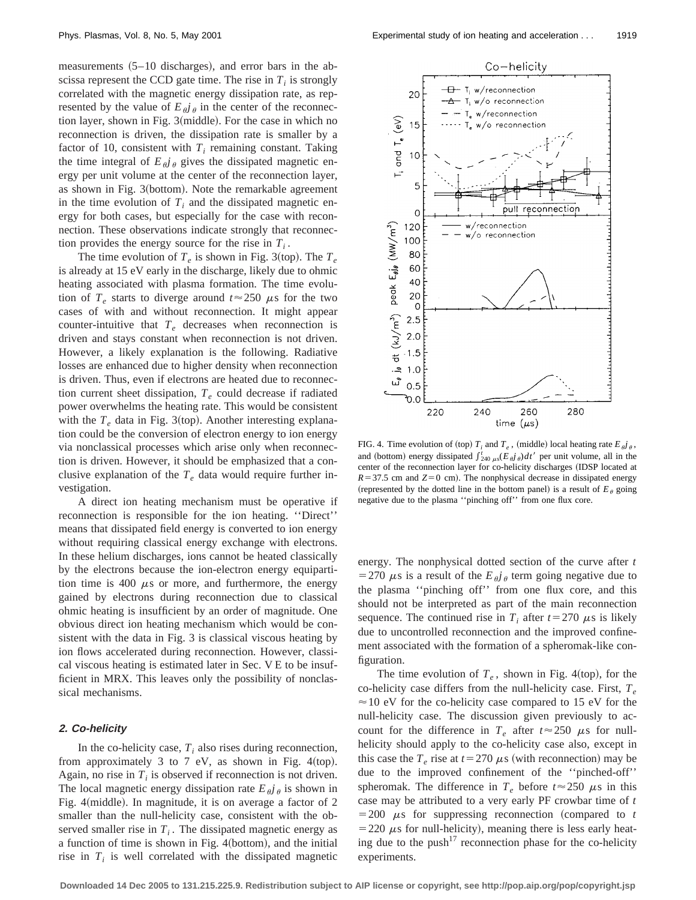measurements  $(5–10$  discharges), and error bars in the abscissa represent the CCD gate time. The rise in  $T_i$  is strongly correlated with the magnetic energy dissipation rate, as represented by the value of  $E_{\hat{a}}i_{\hat{b}}$  in the center of the reconnection layer, shown in Fig.  $3$ (middle). For the case in which no reconnection is driven, the dissipation rate is smaller by a factor of 10, consistent with  $T_i$  remaining constant. Taking the time integral of  $E_{\theta}j_{\theta}$  gives the dissipated magnetic energy per unit volume at the center of the reconnection layer, as shown in Fig. 3(bottom). Note the remarkable agreement in the time evolution of  $T_i$  and the dissipated magnetic energy for both cases, but especially for the case with reconnection. These observations indicate strongly that reconnection provides the energy source for the rise in  $T_i$ .

The time evolution of  $T_e$  is shown in Fig. 3(top). The  $T_e$ is already at 15 eV early in the discharge, likely due to ohmic heating associated with plasma formation. The time evolution of  $T_e$  starts to diverge around  $t \approx 250 \mu s$  for the two cases of with and without reconnection. It might appear counter-intuitive that  $T_e$  decreases when reconnection is driven and stays constant when reconnection is not driven. However, a likely explanation is the following. Radiative losses are enhanced due to higher density when reconnection is driven. Thus, even if electrons are heated due to reconnection current sheet dissipation,  $T_e$  could decrease if radiated power overwhelms the heating rate. This would be consistent with the  $T_e$  data in Fig. 3(top). Another interesting explanation could be the conversion of electron energy to ion energy via nonclassical processes which arise only when reconnection is driven. However, it should be emphasized that a conclusive explanation of the  $T_e$  data would require further investigation.

A direct ion heating mechanism must be operative if reconnection is responsible for the ion heating. ''Direct'' means that dissipated field energy is converted to ion energy without requiring classical energy exchange with electrons. In these helium discharges, ions cannot be heated classically by the electrons because the ion-electron energy equipartition time is 400  $\mu$ s or more, and furthermore, the energy gained by electrons during reconnection due to classical ohmic heating is insufficient by an order of magnitude. One obvious direct ion heating mechanism which would be consistent with the data in Fig. 3 is classical viscous heating by ion flows accelerated during reconnection. However, classical viscous heating is estimated later in Sec. V E to be insufficient in MRX. This leaves only the possibility of nonclassical mechanisms.

#### **2. Co-helicity**

In the co-helicity case,  $T_i$  also rises during reconnection, from approximately 3 to 7 eV, as shown in Fig. 4(top). Again, no rise in  $T_i$  is observed if reconnection is not driven. The local magnetic energy dissipation rate  $E_{\theta}j_{\theta}$  is shown in Fig. 4(middle). In magnitude, it is on average a factor of  $2$ smaller than the null-helicity case, consistent with the observed smaller rise in  $T_i$ . The dissipated magnetic energy as a function of time is shown in Fig. 4(bottom), and the initial rise in  $T_i$  is well correlated with the dissipated magnetic



FIG. 4. Time evolution of (top)  $T_i$  and  $T_e$ , (middle) local heating rate  $E_{\theta}j_{\theta}$ , and (bottom) energy dissipated  $\int_{240 \mu s}^{t} (E_{\theta} \hat{j}_{\theta}) dt'$  per unit volume, all in the center of the reconnection layer for co-helicity discharges (IDSP located at  $R = 37.5$  cm and  $Z = 0$  cm). The nonphysical decrease in dissipated energy (represented by the dotted line in the bottom panel) is a result of  $E_{\theta}$  going negative due to the plasma ''pinching off'' from one flux core.

energy. The nonphysical dotted section of the curve after *t* = 270  $\mu$ s is a result of the  $E_{\theta}j_{\theta}$  term going negative due to the plasma ''pinching off'' from one flux core, and this should not be interpreted as part of the main reconnection sequence. The continued rise in  $T_i$  after  $t=270 \mu s$  is likely due to uncontrolled reconnection and the improved confinement associated with the formation of a spheromak-like configuration.

The time evolution of  $T_e$ , shown in Fig. 4(top), for the co-helicity case differs from the null-helicity case. First, *Te*  $\approx$  10 eV for the co-helicity case compared to 15 eV for the null-helicity case. The discussion given previously to account for the difference in  $T_e$  after  $t \approx 250 \mu s$  for nullhelicity should apply to the co-helicity case also, except in this case the  $T_e$  rise at  $t=270 \mu s$  (with reconnection) may be due to the improved confinement of the ''pinched-off'' spheromak. The difference in  $T_e$  before  $t \approx 250 \mu s$  in this case may be attributed to a very early PF crowbar time of *t*  $=200 \mu s$  for suppressing reconnection (compared to *t*  $=$  220  $\mu$ s for null-helicity), meaning there is less early heating due to the push<sup>17</sup> reconnection phase for the co-helicity experiments.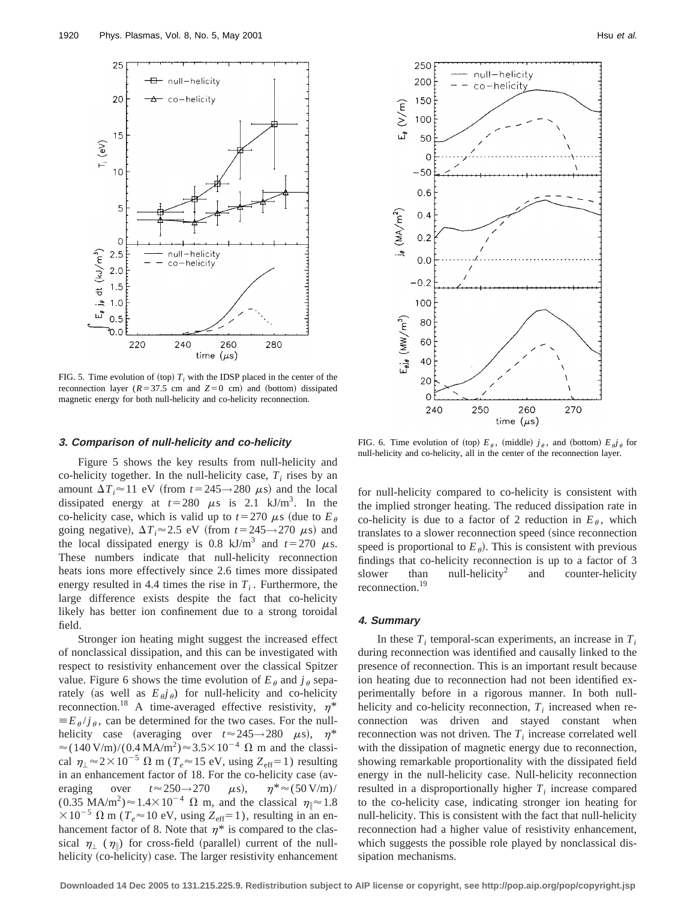

FIG. 5. Time evolution of (top)  $T_i$  with the IDSP placed in the center of the reconnection layer ( $R=37.5$  cm and  $Z=0$  cm) and (bottom) dissipated magnetic energy for both null-helicity and co-helicity reconnection.

## **3. Comparison of null-helicity and co-helicity**

Figure 5 shows the key results from null-helicity and co-helicity together. In the null-helicity case,  $T_i$  rises by an amount  $\Delta T_i \approx 11$  eV (from  $t = 245 \rightarrow 280 \mu s$ ) and the local dissipated energy at  $t=280 \mu s$  is 2.1 kJ/m<sup>3</sup>. In the co-helicity case, which is valid up to  $t=270 \mu s$  (due to  $E_\theta$ going negative),  $\Delta T_i \approx 2.5$  eV (from  $t = 245 \rightarrow 270 \mu s$ ) and the local dissipated energy is 0.8 kJ/m<sup>3</sup> and  $t=270 \mu s$ . These numbers indicate that null-helicity reconnection heats ions more effectively since 2.6 times more dissipated energy resulted in 4.4 times the rise in  $T_i$ . Furthermore, the large difference exists despite the fact that co-helicity likely has better ion confinement due to a strong toroidal field.

Stronger ion heating might suggest the increased effect of nonclassical dissipation, and this can be investigated with respect to resistivity enhancement over the classical Spitzer value. Figure 6 shows the time evolution of  $E_{\theta}$  and  $j_{\theta}$  separately (as well as  $E_{\theta}j_{\theta}$ ) for null-helicity and co-helicity reconnection.<sup>18</sup> A time-averaged effective resistivity,  $\eta^*$  $\equiv E_\theta / j_\theta$ , can be determined for the two cases. For the nullhelicity case (averaging over  $t \approx 245 \rightarrow 280 \mu s$ ),  $\eta^*$  $\approx$ (140 V/m)/(0.4 MA/m<sup>2</sup>) $\approx$ 3.5×10<sup>-4</sup>  $\Omega$  m and the classical  $\eta_{\perp} \approx 2 \times 10^{-5} \Omega$  m ( $T_e \approx 15$  eV, using  $Z_{\text{eff}}=1$ ) resulting in an enhancement factor of  $18$ . For the co-helicity case (averaging over  $t \approx 250 \rightarrow 270$   $\mu$ s),  $\eta^* \approx (50 \text{ V/m})/$  $(0.35 \text{ MA/m}^2) \approx 1.4 \times 10^{-4} \Omega \text{ m}$ , and the classical  $\eta_{\parallel} \approx 1.8$  $\times 10^{-5}$   $\Omega$  m ( $T_e \approx 10$  eV, using  $Z_{\text{eff}}=1$ ), resulting in an enhancement factor of 8. Note that  $\eta^*$  is compared to the classical  $\eta_{\parallel}$  ( $\eta_{\parallel}$ ) for cross-field (parallel) current of the nullhelicity (co-helicity) case. The larger resistivity enhancement



FIG. 6. Time evolution of (top)  $E_{\theta}$ , (middle)  $j_{\theta}$ , and (bottom)  $E_{\theta}j_{\theta}$  for null-helicity and co-helicity, all in the center of the reconnection layer.

for null-helicity compared to co-helicity is consistent with the implied stronger heating. The reduced dissipation rate in co-helicity is due to a factor of 2 reduction in  $E_{\theta}$ , which translates to a slower reconnection speed (since reconnection speed is proportional to  $E_{\theta}$ ). This is consistent with previous findings that co-helicity reconnection is up to a factor of 3 slower than null-helicity<sup>2</sup> and counter-helicity reconnection.19

#### **4. Summary**

In these  $T_i$  temporal-scan experiments, an increase in  $T_i$ during reconnection was identified and causally linked to the presence of reconnection. This is an important result because ion heating due to reconnection had not been identified experimentally before in a rigorous manner. In both nullhelicity and co-helicity reconnection,  $T_i$  increased when reconnection was driven and stayed constant when reconnection was not driven. The  $T_i$  increase correlated well with the dissipation of magnetic energy due to reconnection, showing remarkable proportionality with the dissipated field energy in the null-helicity case. Null-helicity reconnection resulted in a disproportionally higher  $T_i$  increase compared to the co-helicity case, indicating stronger ion heating for null-helicity. This is consistent with the fact that null-helicity reconnection had a higher value of resistivity enhancement, which suggests the possible role played by nonclassical dissipation mechanisms.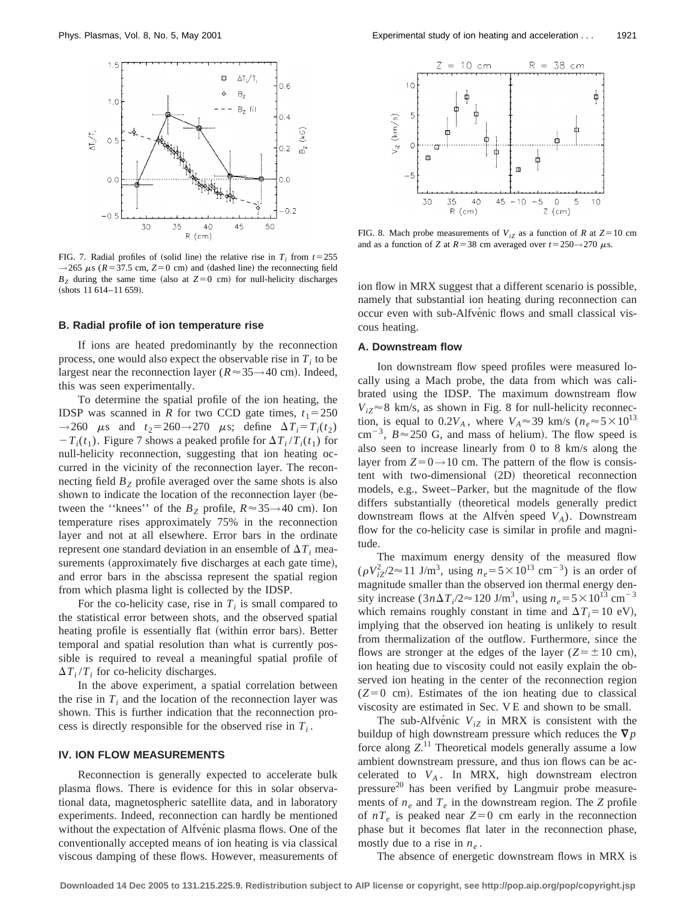

FIG. 7. Radial profiles of (solid line) the relative rise in  $T_i$  from  $t=255$  $\rightarrow$  265  $\mu$ s ( $R = 37.5$  cm,  $Z = 0$  cm) and (dashed line) the reconnecting field  $B<sub>z</sub>$  during the same time (also at  $Z=0$  cm) for null-helicity discharges  $~$  (shots 11 614–11 659).

## **B. Radial profile of ion temperature rise**

If ions are heated predominantly by the reconnection process, one would also expect the observable rise in  $T_i$  to be largest near the reconnection layer ( $R \approx 35 \rightarrow 40$  cm). Indeed, this was seen experimentally.

To determine the spatial profile of the ion heating, the IDSP was scanned in *R* for two CCD gate times,  $t_1 = 250$  $\rightarrow$  260  $\mu$ s and  $t_2$ = 260 $\rightarrow$  270  $\mu$ s; define  $\Delta T_i = T_i(t_2)$  $-T_i(t_1)$ . Figure 7 shows a peaked profile for  $\Delta T_i/T_i(t_1)$  for null-helicity reconnection, suggesting that ion heating occurred in the vicinity of the reconnection layer. The reconnecting field  $B<sub>Z</sub>$  profile averaged over the same shots is also shown to indicate the location of the reconnection layer (between the "knees" of the  $B_Z$  profile,  $R \approx 35 \rightarrow 40$  cm). Ion temperature rises approximately 75% in the reconnection layer and not at all elsewhere. Error bars in the ordinate represent one standard deviation in an ensemble of  $\Delta T_i$  measurements (approximately five discharges at each gate time), and error bars in the abscissa represent the spatial region from which plasma light is collected by the IDSP.

For the co-helicity case, rise in  $T_i$  is small compared to the statistical error between shots, and the observed spatial heating profile is essentially flat (within error bars). Better temporal and spatial resolution than what is currently possible is required to reveal a meaningful spatial profile of  $\Delta T_i/T_i$  for co-helicity discharges.

In the above experiment, a spatial correlation between the rise in  $T_i$  and the location of the reconnection layer was shown. This is further indication that the reconnection process is directly responsible for the observed rise in  $T_i$ .

## **IV. ION FLOW MEASUREMENTS**

Reconnection is generally expected to accelerate bulk plasma flows. There is evidence for this in solar observational data, magnetospheric satellite data, and in laboratory experiments. Indeed, reconnection can hardly be mentioned without the expectation of Alfvénic plasma flows. One of the conventionally accepted means of ion heating is via classical viscous damping of these flows. However, measurements of



FIG. 8. Mach probe measurements of  $V_{iZ}$  as a function of *R* at  $Z=10$  cm and as a function of *Z* at  $R = 38$  cm averaged over  $t = 250 \rightarrow 270 \mu s$ .

ion flow in MRX suggest that a different scenario is possible, namely that substantial ion heating during reconnection can occur even with sub-Alfvénic flows and small classical viscous heating.

#### **A. Downstream flow**

Ion downstream flow speed profiles were measured locally using a Mach probe, the data from which was calibrated using the IDSP. The maximum downstream flow  $V_{i7} \approx 8$  km/s, as shown in Fig. 8 for null-helicity reconnection, is equal to  $0.2V_A$ , where  $V_A \approx 39$  km/s ( $n_e \approx 5 \times 10^{13}$ ) cm<sup>-3</sup>,  $B \approx 250$  G, and mass of helium). The flow speed is also seen to increase linearly from 0 to 8 km/s along the layer from  $Z=0\rightarrow 10$  cm. The pattern of the flow is consistent with two-dimensional (2D) theoretical reconnection models, e.g., Sweet–Parker, but the magnitude of the flow differs substantially (theoretical models generally predict downstream flows at the Alfven speed  $V_A$ ). Downstream flow for the co-helicity case is similar in profile and magnitude.

The maximum energy density of the measured flow  $(\rho V_{iZ}^2/2 \approx 11 \text{ J/m}^3$ , using  $n_e = 5 \times 10^{13} \text{ cm}^{-3})$  is an order of magnitude smaller than the observed ion thermal energy density increase  $(3n\Delta T_i/2 \approx 120 \text{ J/m}^3$ , using  $n_e = 5 \times 10^{13} \text{ cm}^{-3}$ which remains roughly constant in time and  $\Delta T_i = 10 \text{ eV}$ , implying that the observed ion heating is unlikely to result from thermalization of the outflow. Furthermore, since the flows are stronger at the edges of the layer ( $Z = \pm 10$  cm), ion heating due to viscosity could not easily explain the observed ion heating in the center of the reconnection region  $(Z=0 \text{ cm})$ . Estimates of the ion heating due to classical viscosity are estimated in Sec. V E and shown to be small.

The sub-Alfve $\acute{v}$ ic  $V_{iZ}$  in MRX is consistent with the buildup of high downstream pressure which reduces the  $\nabla p$ force along  $Z$ <sup>11</sup> Theoretical models generally assume a low ambient downstream pressure, and thus ion flows can be accelerated to  $V_A$ . In MRX, high downstream electron  $presure<sup>20</sup>$  has been verified by Langmuir probe measurements of  $n_e$  and  $T_e$  in the downstream region. The *Z* profile of  $nT_e$  is peaked near  $Z=0$  cm early in the reconnection phase but it becomes flat later in the reconnection phase, mostly due to a rise in  $n_e$ .

The absence of energetic downstream flows in MRX is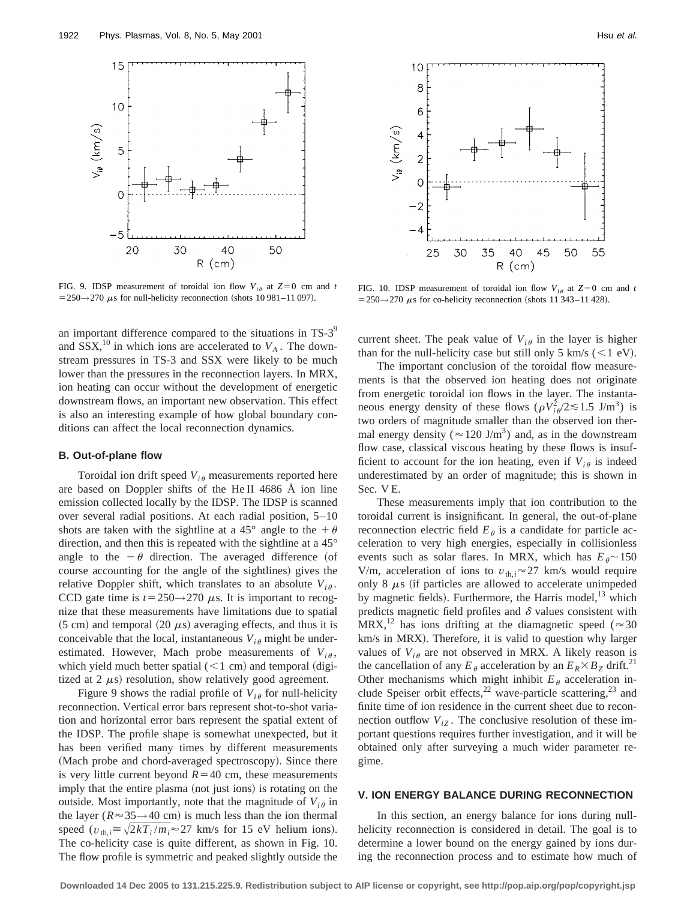

FIG. 9. IDSP measurement of toroidal ion flow  $V_{i\theta}$  at  $Z=0$  cm and *t*  $=$  250 $\rightarrow$  270  $\mu$ s for null-helicity reconnection (shots 10 981–11 097).

an important difference compared to the situations in TS-3<sup>9</sup> and  $SSX$ ,<sup>10</sup> in which ions are accelerated to  $V_A$ . The downstream pressures in TS-3 and SSX were likely to be much lower than the pressures in the reconnection layers. In MRX, ion heating can occur without the development of energetic downstream flows, an important new observation. This effect is also an interesting example of how global boundary conditions can affect the local reconnection dynamics.

## **B. Out-of-plane flow**

Toroidal ion drift speed  $V_{i\theta}$  measurements reported here are based on Doppler shifts of the He II 4686 Å ion line emission collected locally by the IDSP. The IDSP is scanned over several radial positions. At each radial position, 5–10 shots are taken with the sightline at a 45° angle to the  $+ \theta$ direction, and then this is repeated with the sightline at a 45° angle to the  $-\theta$  direction. The averaged difference (of course accounting for the angle of the sightlines) gives the relative Doppler shift, which translates to an absolute  $V_{i\theta}$ . CCD gate time is  $t=250 \rightarrow 270 \mu s$ . It is important to recognize that these measurements have limitations due to spatial  $(5 cm)$  and temporal  $(20 \mu s)$  averaging effects, and thus it is conceivable that the local, instantaneous  $V_{i\theta}$  might be underestimated. However, Mach probe measurements of  $V_{i\theta}$ , which yield much better spatial  $(< 1 cm)$  and temporal (digitized at  $2 \mu s$ ) resolution, show relatively good agreement.

Figure 9 shows the radial profile of  $V_{i\theta}$  for null-helicity reconnection. Vertical error bars represent shot-to-shot variation and horizontal error bars represent the spatial extent of the IDSP. The profile shape is somewhat unexpected, but it has been verified many times by different measurements (Mach probe and chord-averaged spectroscopy). Since there is very little current beyond  $R=40$  cm, these measurements imply that the entire plasma (not just ions) is rotating on the outside. Most importantly, note that the magnitude of  $V_{i\theta}$  in the layer ( $R \approx 35 \rightarrow 40$  cm) is much less than the ion thermal speed ( $v_{\text{th}}$  $\neq$   $\sqrt{2kT_i/m_i}$  $\approx$  27 km/s for 15 eV helium ions). The co-helicity case is quite different, as shown in Fig. 10. The flow profile is symmetric and peaked slightly outside the



FIG. 10. IDSP measurement of toroidal ion flow  $V_{i\theta}$  at  $Z=0$  cm and *t*  $=$  250 $\rightarrow$  270  $\mu$ s for co-helicity reconnection (shots 11 343–11 428).

current sheet. The peak value of  $V_{i\theta}$  in the layer is higher than for the null-helicity case but still only 5 km/s  $(< 1 eV)$ .

The important conclusion of the toroidal flow measurements is that the observed ion heating does not originate from energetic toroidal ion flows in the layer. The instantaneous energy density of these flows  $(\rho V_{i\theta}^2/2 \lesssim 1.5 \text{ J/m}^3)$  is two orders of magnitude smaller than the observed ion thermal energy density ( $\approx$  120 J/m<sup>3</sup>) and, as in the downstream flow case, classical viscous heating by these flows is insufficient to account for the ion heating, even if  $V_{i\theta}$  is indeed underestimated by an order of magnitude; this is shown in Sec. V E.

These measurements imply that ion contribution to the toroidal current is insignificant. In general, the out-of-plane reconnection electric field  $E_{\theta}$  is a candidate for particle acceleration to very high energies, especially in collisionless events such as solar flares. In MRX, which has  $E_{\theta} \sim 150$ V/m, acceleration of ions to  $v_{th,i} \approx 27$  km/s would require only 8  $\mu$ s (if particles are allowed to accelerate unimpeded by magnetic fields). Furthermore, the Harris model, $^{13}$  which predicts magnetic field profiles and  $\delta$  values consistent with MRX,<sup>12</sup> has ions drifting at the diamagnetic speed ( $\approx$ 30 km/s in MRX). Therefore, it is valid to question why larger values of  $V_{i\theta}$  are not observed in MRX. A likely reason is the cancellation of any  $E_{\theta}$  acceleration by an  $E_R \times B_Z$  drift.<sup>21</sup> Other mechanisms which might inhibit  $E_{\theta}$  acceleration include Speiser orbit effects,<sup>22</sup> wave-particle scattering,<sup>23</sup> and finite time of ion residence in the current sheet due to reconnection outflow  $V_{iZ}$ . The conclusive resolution of these important questions requires further investigation, and it will be obtained only after surveying a much wider parameter regime.

## **V. ION ENERGY BALANCE DURING RECONNECTION**

In this section, an energy balance for ions during nullhelicity reconnection is considered in detail. The goal is to determine a lower bound on the energy gained by ions during the reconnection process and to estimate how much of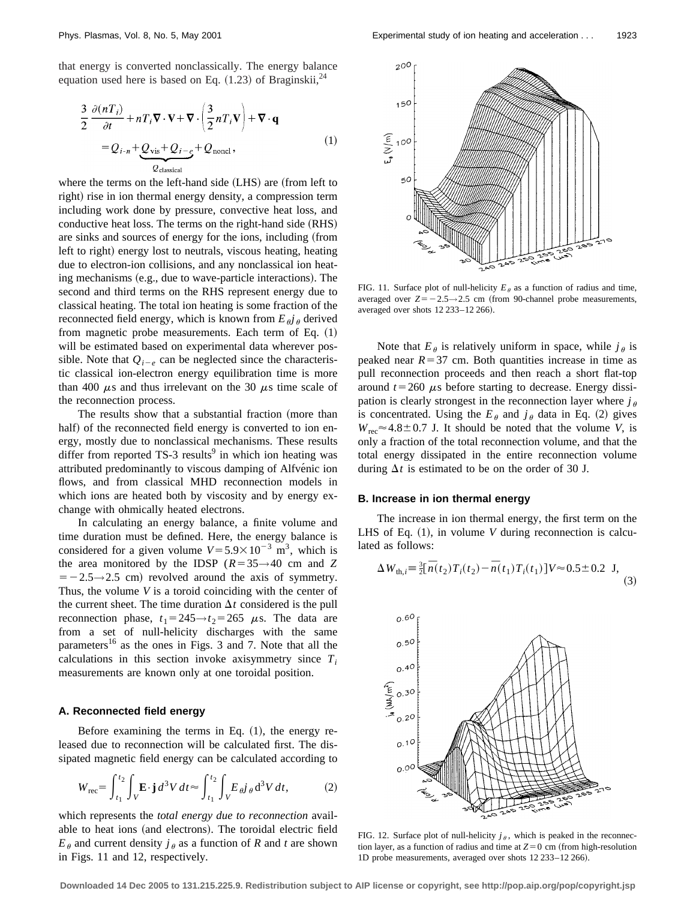that energy is converted nonclassically. The energy balance equation used here is based on Eq.  $(1.23)$  of Braginskii,<sup>24</sup>

$$
\frac{3}{2} \frac{\partial (nT_i)}{\partial t} + nT_i \nabla \cdot \mathbf{V} + \nabla \cdot \left(\frac{3}{2} nT_i \mathbf{V}\right) + \nabla \cdot \mathbf{q}
$$
  
=  $Q_{i-n} + Q_{vis} + Q_{i-e} + Q_{noncl}$ , (1)

where the terms on the left-hand side (LHS) are (from left to right) rise in ion thermal energy density, a compression term including work done by pressure, convective heat loss, and conductive heat loss. The terms on the right-hand side (RHS) are sinks and sources of energy for the ions, including (from left to right) energy lost to neutrals, viscous heating, heating due to electron-ion collisions, and any nonclassical ion heating mechanisms  $(e.g., due to wave-particle interactions)$ . The second and third terms on the RHS represent energy due to classical heating. The total ion heating is some fraction of the reconnected field energy, which is known from  $E_{\theta}j_{\theta}$  derived from magnetic probe measurements. Each term of Eq.  $(1)$ will be estimated based on experimental data wherever possible. Note that  $Q_{i-e}$  can be neglected since the characteristic classical ion-electron energy equilibration time is more than 400  $\mu$ s and thus irrelevant on the 30  $\mu$ s time scale of the reconnection process.

The results show that a substantial fraction (more than half) of the reconnected field energy is converted to ion energy, mostly due to nonclassical mechanisms. These results differ from reported  $TS-3$  results<sup>9</sup> in which ion heating was attributed predominantly to viscous damping of Alfvénic ion flows, and from classical MHD reconnection models in which ions are heated both by viscosity and by energy exchange with ohmically heated electrons.

In calculating an energy balance, a finite volume and time duration must be defined. Here, the energy balance is considered for a given volume  $V = 5.9 \times 10^{-3}$  m<sup>3</sup>, which is the area monitored by the IDSP  $(R=35 \rightarrow 40$  cm and Z  $=$  -2.5→2.5 cm) revolved around the axis of symmetry. Thus, the volume *V* is a toroid coinciding with the center of the current sheet. The time duration  $\Delta t$  considered is the pull reconnection phase,  $t_1 = 245 \rightarrow t_2 = 265$   $\mu$ s. The data are from a set of null-helicity discharges with the same parameters<sup>16</sup> as the ones in Figs. 3 and 7. Note that all the calculations in this section invoke axisymmetry since  $T_i$ measurements are known only at one toroidal position.

## **A. Reconnected field energy**

Before examining the terms in Eq.  $(1)$ , the energy released due to reconnection will be calculated first. The dissipated magnetic field energy can be calculated according to

$$
W_{\text{rec}} = \int_{t_1}^{t_2} \int_V \mathbf{E} \cdot \mathbf{j} \, d^3 V \, dt \approx \int_{t_1}^{t_2} \int_V E \, d\mathbf{j} \, d^3 V \, dt,\tag{2}
$$

which represents the *total energy due to reconnection* available to heat ions (and electrons). The toroidal electric field  $E_{\theta}$  and current density  $j_{\theta}$  as a function of *R* and *t* are shown in Figs. 11 and 12, respectively.



FIG. 11. Surface plot of null-helicity  $E_{\theta}$  as a function of radius and time, averaged over  $Z=-2.5\rightarrow 2.5$  cm (from 90-channel probe measurements, averaged over shots 12 233-12 266).

Note that  $E_{\theta}$  is relatively uniform in space, while  $j_{\theta}$  is peaked near  $R=37$  cm. Both quantities increase in time as pull reconnection proceeds and then reach a short flat-top around  $t=260 \mu s$  before starting to decrease. Energy dissipation is clearly strongest in the reconnection layer where  $j_{\theta}$ is concentrated. Using the  $E_{\theta}$  and  $j_{\theta}$  data in Eq. (2) gives  $W_{\text{rec}} \approx 4.8 \pm 0.7$  J. It should be noted that the volume *V*, is only a fraction of the total reconnection volume, and that the total energy dissipated in the entire reconnection volume during  $\Delta t$  is estimated to be on the order of 30 J.

# **B. Increase in ion thermal energy**

The increase in ion thermal energy, the first term on the LHS of Eq.  $(1)$ , in volume *V* during reconnection is calculated as follows:

$$
\Delta W_{\text{th},i} = \frac{3}{2} [\bar{n}(t_2) T_i(t_2) - \bar{n}(t_1) T_i(t_1)] V \approx 0.5 \pm 0.2 \text{ J}, \tag{3}
$$



FIG. 12. Surface plot of null-helicity  $j_\theta$ , which is peaked in the reconnection layer, as a function of radius and time at  $Z=0$  cm (from high-resolution 1D probe measurements, averaged over shots 12 233-12 266).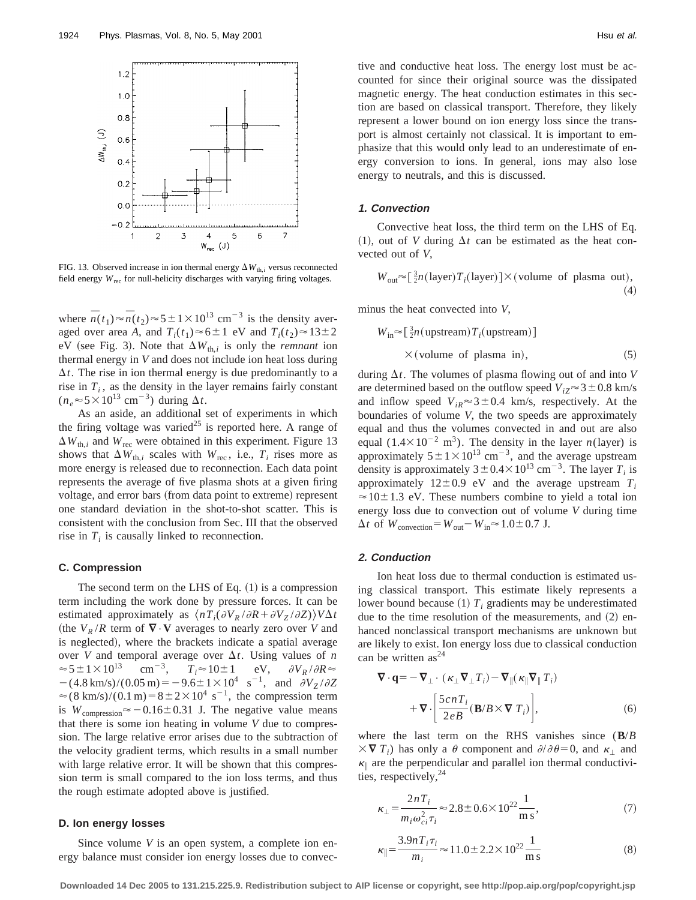

FIG. 13. Observed increase in ion thermal energy  $\Delta W_{th,i}$  versus reconnected field energy  $W_{\text{rec}}$  for null-helicity discharges with varying firing voltages.

where  $\overline{n}(t_1) \approx \overline{n}(t_2) \approx 5 \pm 1 \times 10^{13}$  cm<sup>-3</sup> is the density averaged over area *A*, and  $T_i(t_1) \approx 6 \pm 1$  eV and  $T_i(t_2) \approx 13 \pm 2$ eV (see Fig. 3). Note that  $\Delta W_{th,i}$  is only the *remnant* ion thermal energy in *V* and does not include ion heat loss during  $\Delta t$ . The rise in ion thermal energy is due predominantly to a rise in  $T_i$ , as the density in the layer remains fairly constant  $(n_e \approx 5 \times 10^{13} \text{ cm}^{-3})$  during  $\Delta t$ .

As an aside, an additional set of experiments in which the firing voltage was varied<sup>25</sup> is reported here. A range of  $\Delta W_{th,i}$  and  $W_{rec}$  were obtained in this experiment. Figure 13 shows that  $\Delta W_{th,i}$  scales with  $W_{\text{rec}}$ , i.e.,  $T_i$  rises more as more energy is released due to reconnection. Each data point represents the average of five plasma shots at a given firing voltage, and error bars (from data point to extreme) represent one standard deviation in the shot-to-shot scatter. This is consistent with the conclusion from Sec. III that the observed rise in  $T_i$  is causally linked to reconnection.

# **C. Compression**

The second term on the LHS of Eq.  $(1)$  is a compression term including the work done by pressure forces. It can be estimated approximately as  $\langle nT_i(\partial V_R/\partial R + \partial V_Z/\partial Z)\rangle V\Delta t$ (the  $V_R/R$  term of  $\nabla \cdot \mathbf{V}$  averages to nearly zero over *V* and is neglected), where the brackets indicate a spatial average over *V* and temporal average over  $\Delta t$ . Using values of *n*  $\approx$  5  $\pm$  1  $\times$  10<sup>13</sup> cm<sup>-3</sup>,  $T_i \approx 10 \pm 1$  eV,  $\partial V_R / \partial R \approx$  $-(4.8 \text{ km/s})/(0.05 \text{ m}) = -9.6 \pm 1 \times 10^4 \text{ s}^{-1}$ , and  $\partial V_Z / \partial Z$  $\approx (8 \text{ km/s})/(0.1 \text{ m})=8 \pm 2 \times 10^4 \text{ s}^{-1}$ , the compression term is  $W_{\text{compression}} \approx -0.16 \pm 0.31$  J. The negative value means that there is some ion heating in volume *V* due to compression. The large relative error arises due to the subtraction of the velocity gradient terms, which results in a small number with large relative error. It will be shown that this compression term is small compared to the ion loss terms, and thus the rough estimate adopted above is justified.

# **D. Ion energy losses**

Since volume *V* is an open system, a complete ion energy balance must consider ion energy losses due to convective and conductive heat loss. The energy lost must be accounted for since their original source was the dissipated magnetic energy. The heat conduction estimates in this section are based on classical transport. Therefore, they likely represent a lower bound on ion energy loss since the transport is almost certainly not classical. It is important to emphasize that this would only lead to an underestimate of energy conversion to ions. In general, ions may also lose energy to neutrals, and this is discussed.

#### **1. Convection**

Convective heat loss, the third term on the LHS of Eq. (1), out of *V* during  $\Delta t$  can be estimated as the heat convected out of *V*,

$$
W_{\text{out}} \approx \left[\frac{3}{2}n(\text{layer})T_i(\text{layer})\right] \times (\text{volume of plasma out}),\tag{4}
$$

minus the heat convected into *V*,

$$
W_{\text{in}} \approx \left[\frac{3}{2}n(\text{upstream})T_i(\text{upstream})\right]
$$
  
×(volume of plasma in), (5)

during  $\Delta t$ . The volumes of plasma flowing out of and into *V* are determined based on the outflow speed  $V_{iZ} \approx 3 \pm 0.8$  km/s and inflow speed  $V_{iR} \approx 3 \pm 0.4$  km/s, respectively. At the boundaries of volume *V*, the two speeds are approximately equal and thus the volumes convected in and out are also equal  $(1.4 \times 10^{-2} \text{ m}^3)$ . The density in the layer *n*(layer) is approximately  $5 \pm 1 \times 10^{13}$  cm<sup>-3</sup>, and the average upstream density is approximately  $3 \pm 0.4 \times 10^{13}$  cm<sup>-3</sup>. The layer *T<sub>i</sub>* is approximately  $12 \pm 0.9$  eV and the average upstream  $T_i$  $\approx$  10 $\pm$  1.3 eV. These numbers combine to yield a total ion energy loss due to convection out of volume *V* during time  $\Delta t$  of  $W_{\text{convection}} = W_{\text{out}} - W_{\text{in}} \approx 1.0 \pm 0.7 \text{ J}.$ 

## **2. Conduction**

Ion heat loss due to thermal conduction is estimated using classical transport. This estimate likely represents a lower bound because  $(1)$   $T_i$  gradients may be underestimated due to the time resolution of the measurements, and  $(2)$  enhanced nonclassical transport mechanisms are unknown but are likely to exist. Ion energy loss due to classical conduction can be written  $as^{24}$ 

$$
\nabla \cdot \mathbf{q} = -\nabla_{\perp} \cdot (\kappa_{\perp} \nabla_{\perp} T_i) - \nabla_{\parallel} (\kappa_{\parallel} \nabla_{\parallel} T_i)
$$

$$
+ \nabla \cdot \left[ \frac{5 \operatorname{cn} T_i}{2eB} (\mathbf{B}/B \times \nabla T_i) \right], \tag{6}
$$

where the last term on the RHS vanishes since (**B**/*B*  $\times \nabla T_i$ ) has only a  $\theta$  component and  $\partial/\partial \theta = 0$ , and  $\kappa_i$  and  $\kappa_{\parallel}$  are the perpendicular and parallel ion thermal conductivities, respectively,  $24$ 

$$
\kappa_{\perp} = \frac{2nT_i}{m_i \omega_{ci}^2 \tau_i} \approx 2.8 \pm 0.6 \times 10^{22} \frac{1}{\text{m s}},\tag{7}
$$

$$
\kappa_{\parallel} = \frac{3.9nT_i \tau_i}{m_i} \approx 11.0 \pm 2.2 \times 10^{22} \frac{1}{\text{m s}} \tag{8}
$$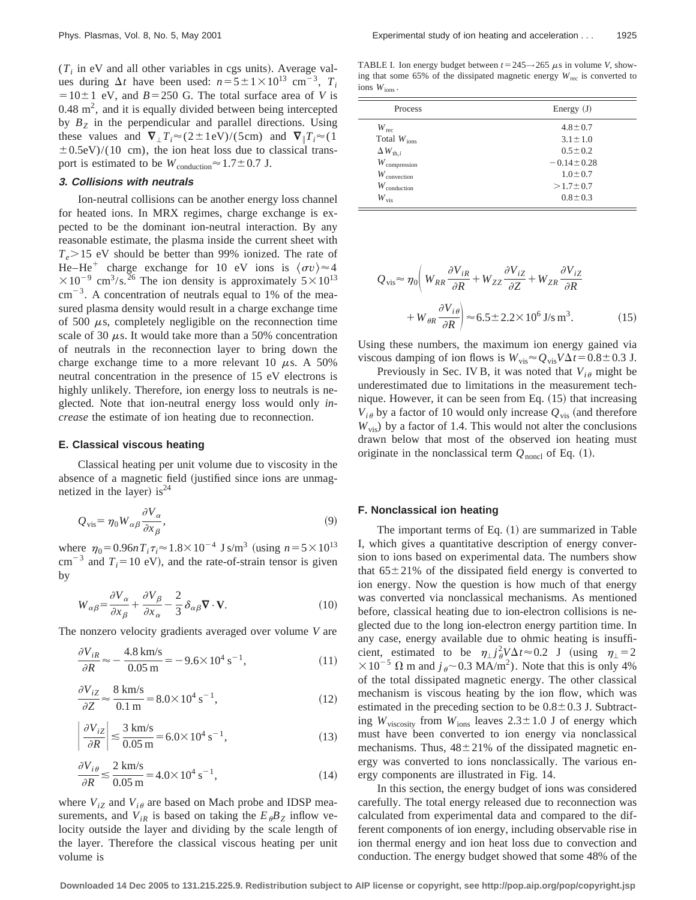$(T<sub>i</sub>$  in eV and all other variables in cgs units). Average values during  $\Delta t$  have been used:  $n=5\pm1\times10^{13}$  cm<sup>-3</sup>,  $T_i$  $=10\pm1$  eV, and  $B=250$  G. The total surface area of *V* is  $0.48 \text{ m}^2$ , and it is equally divided between being intercepted by  $B<sub>Z</sub>$  in the perpendicular and parallel directions. Using these values and  $\nabla_{\perp} T_i \approx (2 \pm 1 \text{ eV})/(5 \text{ cm})$  and  $\nabla_{\parallel} T_i \approx (1$  $\pm$  0.5eV)/(10 cm), the ion heat loss due to classical transport is estimated to be  $W_{\text{conduction}} \approx 1.7 \pm 0.7$  J.

## **3. Collisions with neutrals**

Ion-neutral collisions can be another energy loss channel for heated ions. In MRX regimes, charge exchange is expected to be the dominant ion-neutral interaction. By any reasonable estimate, the plasma inside the current sheet with  $T_e > 15$  eV should be better than 99% ionized. The rate of He–He<sup>+</sup> charge exchange for 10 eV ions is  $\langle \sigma v \rangle \approx 4$  $\times 10^{-9}$  cm<sup>3</sup>/s.<sup>26</sup> The ion density is approximately  $5\times 10^{13}$  $cm^{-3}$ . A concentration of neutrals equal to 1% of the measured plasma density would result in a charge exchange time of 500  $\mu$ s, completely negligible on the reconnection time scale of 30  $\mu$ s. It would take more than a 50% concentration of neutrals in the reconnection layer to bring down the charge exchange time to a more relevant 10  $\mu$ s. A 50% neutral concentration in the presence of 15 eV electrons is highly unlikely. Therefore, ion energy loss to neutrals is neglected. Note that ion-neutral energy loss would only *increase* the estimate of ion heating due to reconnection.

## **E. Classical viscous heating**

 $\overline{\phantom{a}}$ 

Classical heating per unit volume due to viscosity in the absence of a magnetic field (justified since ions are unmagnetized in the layer) is<sup>24</sup>

$$
Q_{\rm vis} = \eta_0 W_{\alpha\beta} \frac{\partial V_{\alpha}}{\partial x_{\beta}},\tag{9}
$$

where  $\eta_0 = 0.96nT_i\tau_i \approx 1.8 \times 10^{-4}$  J s/m<sup>3</sup> (using  $n = 5 \times 10^{13}$ )  $cm^{-3}$  and  $T_i=10$  eV), and the rate-of-strain tensor is given by

$$
W_{\alpha\beta} = \frac{\partial V_{\alpha}}{\partial x_{\beta}} + \frac{\partial V_{\beta}}{\partial x_{\alpha}} - \frac{2}{3} \delta_{\alpha\beta} \nabla \cdot \mathbf{V}.
$$
 (10)

The nonzero velocity gradients averaged over volume *V* are

$$
\frac{\partial V_{iR}}{\partial R} \approx -\frac{4.8 \text{ km/s}}{0.05 \text{ m}} = -9.6 \times 10^4 \text{ s}^{-1},\tag{11}
$$

$$
\frac{\partial V_{iZ}}{\partial Z} \approx \frac{8 \text{ km/s}}{0.1 \text{ m}} = 8.0 \times 10^4 \text{ s}^{-1},\tag{12}
$$

$$
\left. \frac{\partial V_{iZ}}{\partial R} \right| \lesssim \frac{3 \text{ km/s}}{0.05 \text{ m}} = 6.0 \times 10^4 \text{ s}^{-1},\tag{13}
$$

$$
\frac{\partial V_{i\theta}}{\partial R} \le \frac{2 \text{ km/s}}{0.05 \text{ m}} = 4.0 \times 10^4 \text{ s}^{-1},\tag{14}
$$

where  $V_{iZ}$  and  $V_{i\theta}$  are based on Mach probe and IDSP measurements, and  $V_{iR}$  is based on taking the  $E_{\theta}B_{Z}$  inflow velocity outside the layer and dividing by the scale length of the layer. Therefore the classical viscous heating per unit volume is

TABLE I. Ion energy budget between  $t=245 \rightarrow 265 \mu s$  in volume *V*, showing that some 65% of the dissipated magnetic energy  $W_{\text{rec}}$  is converted to ions *W*ions .

| Process                  | Energy $(J)$     |
|--------------------------|------------------|
| $W_{\text{rec}}$         | $4.8 \pm 0.7$    |
| Total $W_{\text{ions}}$  | $3.1 \pm 1.0$    |
| $\Delta W_{\text{th},i}$ | $0.5 \pm 0.2$    |
| $W_{\text{compression}}$ | $-0.14 \pm 0.28$ |
| $W_{\text{convection}}$  | $1.0 \pm 0.7$    |
| $W_{\text{conduction}}$  | $>1.7 \pm 0.7$   |
| $W_{\rm vis}$            | $0.8 \pm 0.3$    |

$$
Q_{\text{vis}} \approx \eta_0 \left( W_{RR} \frac{\partial V_{iR}}{\partial R} + W_{ZZ} \frac{\partial V_{iZ}}{\partial Z} + W_{ZR} \frac{\partial V_{iZ}}{\partial R} + W_{\theta R} \frac{\partial V_{i\theta}}{\partial R} \right) \approx 6.5 \pm 2.2 \times 10^6 \text{ J/s m}^3. \tag{15}
$$

Using these numbers, the maximum ion energy gained via viscous damping of ion flows is  $W_{vis} \approx Q_{vis} V \Delta t = 0.8 \pm 0.3$  J.

Previously in Sec. IV B, it was noted that  $V_{i\theta}$  might be underestimated due to limitations in the measurement technique. However, it can be seen from Eq.  $(15)$  that increasing  $V_{i\theta}$  by a factor of 10 would only increase  $Q_{\text{vis}}$  (and therefore  $W_{\text{vis}}$ ) by a factor of 1.4. This would not alter the conclusions drawn below that most of the observed ion heating must originate in the nonclassical term  $Q_{\text{noncl}}$  of Eq. (1).

# **F. Nonclassical ion heating**

The important terms of Eq.  $(1)$  are summarized in Table I, which gives a quantitative description of energy conversion to ions based on experimental data. The numbers show that  $65\pm21\%$  of the dissipated field energy is converted to ion energy. Now the question is how much of that energy was converted via nonclassical mechanisms. As mentioned before, classical heating due to ion-electron collisions is neglected due to the long ion-electron energy partition time. In any case, energy available due to ohmic heating is insufficient, estimated to be  $\eta_{\perp} j_{\theta}^2 V \Delta t \approx 0.2$  J (using  $\eta_{\perp} = 2$  $\times 10^{-5}$   $\Omega$  m and  $j_{\theta}$  ~ 0.3 MA/m<sup>2</sup>). Note that this is only 4% of the total dissipated magnetic energy. The other classical mechanism is viscous heating by the ion flow, which was estimated in the preceding section to be  $0.8\pm0.3$  J. Subtracting  $W_{viscosity}$  from  $W_{ions}$  leaves  $2.3 \pm 1.0$  J of energy which must have been converted to ion energy via nonclassical mechanisms. Thus,  $48\pm21\%$  of the dissipated magnetic energy was converted to ions nonclassically. The various energy components are illustrated in Fig. 14.

In this section, the energy budget of ions was considered carefully. The total energy released due to reconnection was calculated from experimental data and compared to the different components of ion energy, including observable rise in ion thermal energy and ion heat loss due to convection and conduction. The energy budget showed that some 48% of the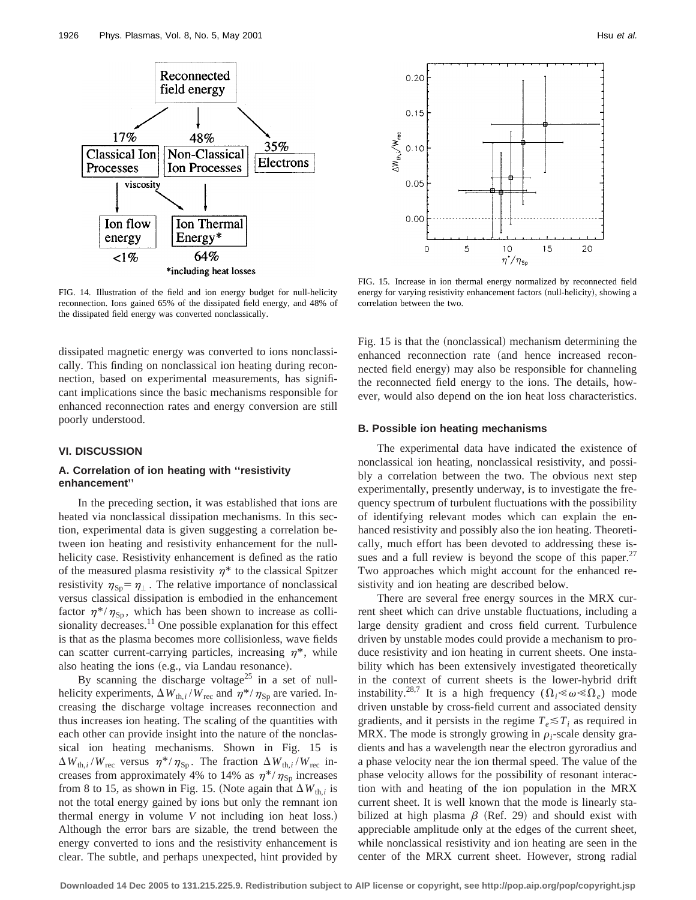

FIG. 14. Illustration of the field and ion energy budget for null-helicity reconnection. Ions gained 65% of the dissipated field energy, and 48% of the dissipated field energy was converted nonclassically.

dissipated magnetic energy was converted to ions nonclassically. This finding on nonclassical ion heating during reconnection, based on experimental measurements, has significant implications since the basic mechanisms responsible for enhanced reconnection rates and energy conversion are still poorly understood.

## **VI. DISCUSSION**

## **A. Correlation of ion heating with ''resistivity enhancement''**

In the preceding section, it was established that ions are heated via nonclassical dissipation mechanisms. In this section, experimental data is given suggesting a correlation between ion heating and resistivity enhancement for the nullhelicity case. Resistivity enhancement is defined as the ratio of the measured plasma resistivity  $\eta^*$  to the classical Spitzer resistivity  $\eta_{\text{Sp}} = \eta_{\perp}$ . The relative importance of nonclassical versus classical dissipation is embodied in the enhancement factor  $\eta^*/\eta_{\rm Sp}$ , which has been shown to increase as collisionality decreases.<sup>11</sup> One possible explanation for this effect is that as the plasma becomes more collisionless, wave fields can scatter current-carrying particles, increasing  $\eta^*$ , while also heating the ions (e.g., via Landau resonance).

By scanning the discharge voltage<sup>25</sup> in a set of nullhelicity experiments,  $\Delta W_{th,i}/W_{rec}$  and  $\eta^{*}/\eta_{Sp}$  are varied. Increasing the discharge voltage increases reconnection and thus increases ion heating. The scaling of the quantities with each other can provide insight into the nature of the nonclassical ion heating mechanisms. Shown in Fig. 15 is  $\Delta W_{th,i}/W_{\text{rec}}$  versus  $\eta^*/\eta_{\text{Sp}}$ . The fraction  $\Delta W_{th,i}/W_{\text{rec}}$  increases from approximately 4% to 14% as  $\eta^*/\eta_{\rm Sp}$  increases from 8 to 15, as shown in Fig. 15. (Note again that  $\Delta W_{th,i}$  is not the total energy gained by ions but only the remnant ion thermal energy in volume *V* not including ion heat loss.) Although the error bars are sizable, the trend between the energy converted to ions and the resistivity enhancement is clear. The subtle, and perhaps unexpected, hint provided by



FIG. 15. Increase in ion thermal energy normalized by reconnected field energy for varying resistivity enhancement factors (null-helicity), showing a correlation between the two.

Fig. 15 is that the (nonclassical) mechanism determining the enhanced reconnection rate (and hence increased reconnected field energy) may also be responsible for channeling the reconnected field energy to the ions. The details, however, would also depend on the ion heat loss characteristics.

#### **B. Possible ion heating mechanisms**

The experimental data have indicated the existence of nonclassical ion heating, nonclassical resistivity, and possibly a correlation between the two. The obvious next step experimentally, presently underway, is to investigate the frequency spectrum of turbulent fluctuations with the possibility of identifying relevant modes which can explain the enhanced resistivity and possibly also the ion heating. Theoretically, much effort has been devoted to addressing these issues and a full review is beyond the scope of this paper.<sup>27</sup> Two approaches which might account for the enhanced resistivity and ion heating are described below.

There are several free energy sources in the MRX current sheet which can drive unstable fluctuations, including a large density gradient and cross field current. Turbulence driven by unstable modes could provide a mechanism to produce resistivity and ion heating in current sheets. One instability which has been extensively investigated theoretically in the context of current sheets is the lower-hybrid drift instability.<sup>28,7</sup> It is a high frequency  $(\Omega_i \ll \omega \ll \Omega_e)$  mode driven unstable by cross-field current and associated density gradients, and it persists in the regime  $T_e \leq T_i$  as required in MRX. The mode is strongly growing in  $\rho_i$ -scale density gradients and has a wavelength near the electron gyroradius and a phase velocity near the ion thermal speed. The value of the phase velocity allows for the possibility of resonant interaction with and heating of the ion population in the MRX current sheet. It is well known that the mode is linearly stabilized at high plasma  $\beta$  (Ref. 29) and should exist with appreciable amplitude only at the edges of the current sheet, while nonclassical resistivity and ion heating are seen in the center of the MRX current sheet. However, strong radial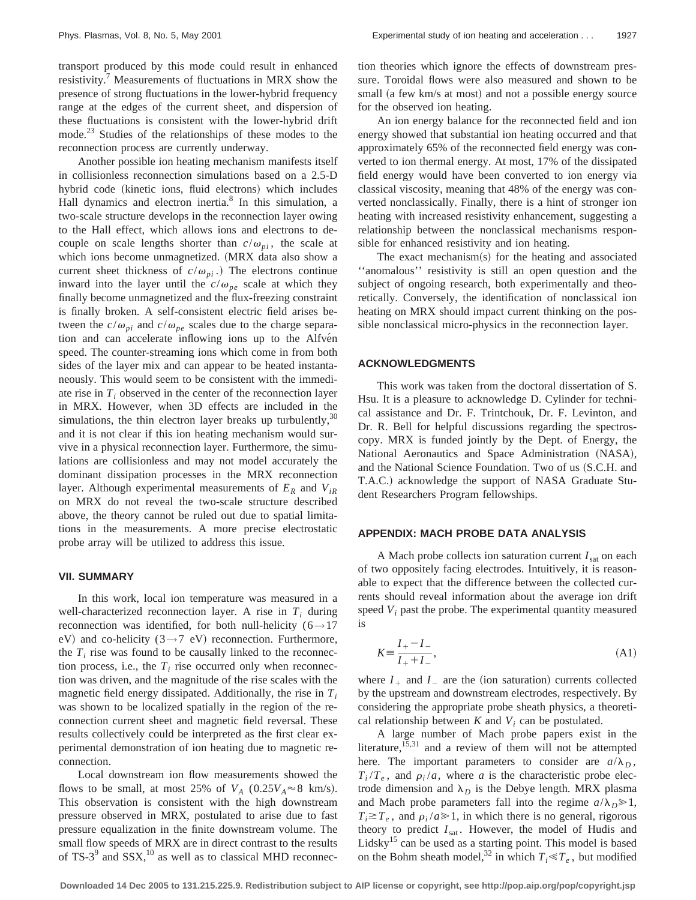transport produced by this mode could result in enhanced resistivity.<sup>7</sup> Measurements of fluctuations in MRX show the presence of strong fluctuations in the lower-hybrid frequency range at the edges of the current sheet, and dispersion of these fluctuations is consistent with the lower-hybrid drift mode.<sup>23</sup> Studies of the relationships of these modes to the reconnection process are currently underway.

Another possible ion heating mechanism manifests itself in collisionless reconnection simulations based on a 2.5-D hybrid code (kinetic ions, fluid electrons) which includes Hall dynamics and electron inertia. $8 \text{ In this simulation, a}$ two-scale structure develops in the reconnection layer owing to the Hall effect, which allows ions and electrons to decouple on scale lengths shorter than  $c/\omega_{pi}$ , the scale at which ions become unmagnetized. (MRX data also show a current sheet thickness of  $c/\omega_{pi}$ .) The electrons continue inward into the layer until the  $c/\omega_{pe}$  scale at which they finally become unmagnetized and the flux-freezing constraint is finally broken. A self-consistent electric field arises between the  $c/\omega_{pi}$  and  $c/\omega_{pe}$  scales due to the charge separation and can accelerate inflowing ions up to the Alfvén speed. The counter-streaming ions which come in from both sides of the layer mix and can appear to be heated instantaneously. This would seem to be consistent with the immediate rise in  $T_i$  observed in the center of the reconnection layer in MRX. However, when 3D effects are included in the simulations, the thin electron layer breaks up turbulently,  $30$ and it is not clear if this ion heating mechanism would survive in a physical reconnection layer. Furthermore, the simulations are collisionless and may not model accurately the dominant dissipation processes in the MRX reconnection layer. Although experimental measurements of  $E_R$  and  $V_{iR}$ on MRX do not reveal the two-scale structure described above, the theory cannot be ruled out due to spatial limitations in the measurements. A more precise electrostatic probe array will be utilized to address this issue.

#### **VII. SUMMARY**

In this work, local ion temperature was measured in a well-characterized reconnection layer. A rise in  $T_i$  during reconnection was identified, for both null-helicity ( $6 \rightarrow 17$ eV) and co-helicity (3 $\rightarrow$ 7 eV) reconnection. Furthermore, the  $T_i$  rise was found to be causally linked to the reconnection process, i.e., the  $T_i$  rise occurred only when reconnection was driven, and the magnitude of the rise scales with the magnetic field energy dissipated. Additionally, the rise in *Ti* was shown to be localized spatially in the region of the reconnection current sheet and magnetic field reversal. These results collectively could be interpreted as the first clear experimental demonstration of ion heating due to magnetic reconnection.

Local downstream ion flow measurements showed the flows to be small, at most 25% of  $V_A$  (0.25 $V_A \approx 8$  km/s). This observation is consistent with the high downstream pressure observed in MRX, postulated to arise due to fast pressure equalization in the finite downstream volume. The small flow speeds of MRX are in direct contrast to the results of TS-3 $9$  and SSX,<sup>10</sup> as well as to classical MHD reconnection theories which ignore the effects of downstream pressure. Toroidal flows were also measured and shown to be small (a few km/s at most) and not a possible energy source for the observed ion heating.

An ion energy balance for the reconnected field and ion energy showed that substantial ion heating occurred and that approximately 65% of the reconnected field energy was converted to ion thermal energy. At most, 17% of the dissipated field energy would have been converted to ion energy via classical viscosity, meaning that 48% of the energy was converted nonclassically. Finally, there is a hint of stronger ion heating with increased resistivity enhancement, suggesting a relationship between the nonclassical mechanisms responsible for enhanced resistivity and ion heating.

The exact mechanism $(s)$  for the heating and associated ''anomalous'' resistivity is still an open question and the subject of ongoing research, both experimentally and theoretically. Conversely, the identification of nonclassical ion heating on MRX should impact current thinking on the possible nonclassical micro-physics in the reconnection layer.

## **ACKNOWLEDGMENTS**

This work was taken from the doctoral dissertation of S. Hsu. It is a pleasure to acknowledge D. Cylinder for technical assistance and Dr. F. Trintchouk, Dr. F. Levinton, and Dr. R. Bell for helpful discussions regarding the spectroscopy. MRX is funded jointly by the Dept. of Energy, the National Aeronautics and Space Administration (NASA), and the National Science Foundation. Two of us (S.C.H. and T.A.C.) acknowledge the support of NASA Graduate Student Researchers Program fellowships.

## **APPENDIX: MACH PROBE DATA ANALYSIS**

A Mach probe collects ion saturation current  $I_{\text{sat}}$  on each of two oppositely facing electrodes. Intuitively, it is reasonable to expect that the difference between the collected currents should reveal information about the average ion drift speed  $V_i$  past the probe. The experimental quantity measured is

$$
K = \frac{I_+ - I_-}{I_+ + I_-},\tag{A1}
$$

where  $I_+$  and  $I_-$  are the (ion saturation) currents collected by the upstream and downstream electrodes, respectively. By considering the appropriate probe sheath physics, a theoretical relationship between  $K$  and  $V_i$  can be postulated.

A large number of Mach probe papers exist in the literature,<sup>15,31</sup> and a review of them will not be attempted here. The important parameters to consider are  $a/\lambda_D$ ,  $T_i/T_e$ , and  $\rho_i/a$ , where *a* is the characteristic probe electrode dimension and  $\lambda_D$  is the Debye length. MRX plasma and Mach probe parameters fall into the regime  $a/\lambda_D \ge 1$ ,  $T_i \gtrsim T_e$ , and  $\rho_i / a \gg 1$ , in which there is no general, rigorous theory to predict  $I_{sat}$ . However, the model of Hudis and Lidsky $15$  can be used as a starting point. This model is based on the Bohm sheath model,<sup>32</sup> in which  $T_i \ll T_e$ , but modified